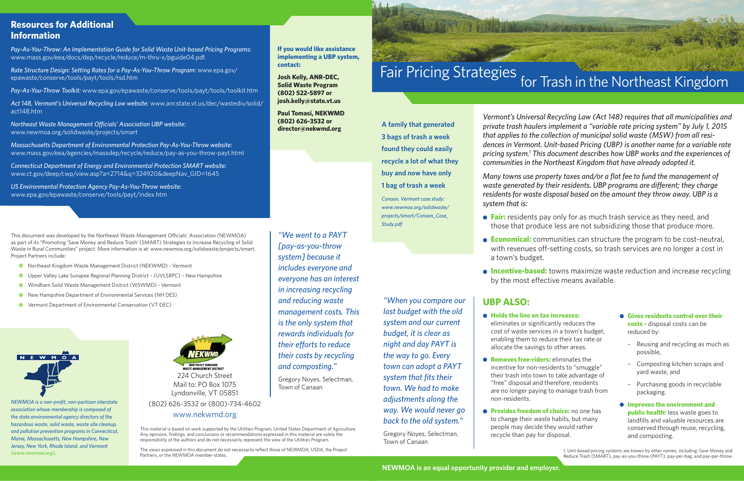*Vermont's Universal Recycling Law (Act 148) requires that all municipalities and private trash haulers implement a "variable rate pricing system" by July 1, 2015 that applies to the collection of municipal solid waste (MSW) from all residences in Vermont. Unit-based Pricing (UBP) is another name for a variable rate pricing system.1 This document describes how UBP works and the experiences of communities in the Northeast Kingdom that have already adopted it.*

**Fair:** residents pay only for as much trash service as they need, and those that produce less are not subsidizing those that produce more.

**Economical:** communities can structure the program to be cost-neutral, with revenues off-setting costs, so trash services are no longer a cost in

**Incentive-based:** towns maximize waste reduction and increase recycling by the most effective means available.

*Many towns use property taxes and/or a flat fee to fund the management of waste generated by their residents. UBP programs are diferent; they charge residents for waste disposal based on the amount they throw away. UBP is a system that is:*

- 
- a town's budget.
- 

## **UBP ALSO:**

cost of waste services in a town's budget, enabling them to reduce their tax rate or

- **Holds the line on tax increases:** eliminates or significantly reduces the allocate the savings to other areas.
- **Removes free-riders:** eliminates the incentive for non-residents to "smuggle" "free" disposal and therefore, residents non-residents.
	- to change their waste habits, but many people may decide they would rather recycle than pay for disposal.



# for Trash in the Northeast Kingdom Fair Pricing Strategies

their trash into town to take advantage of are no longer paying to manage trash from

**Provides freedom of choice:** no one has

This document was developed by the Northeast Waste Management Officials' Association (NEWMOA) as part of its "Promoting 'Save Money and Reduce Trash' (SMART) Strategies to Increase Recycling of Solid Waste in Rural Communities" project. More information is at: www.newmoa.org/solidwaste/projects/smart. Project Partners include:

- **Gives residents control over their costs** - disposal costs can be reduced by:
	- Reusing and recycling as much as possible,
	- Composting kitchen scraps and yard waste, and
	- Purchasing goods in recyclable packaging.
- **Improves the environment and public health:** less waste goes to landfills and valuable resources are conserved through reuse, recycling, and composting.

1. Unit-based pricing systems are known by other names, including: Save Money and Reduce Trash (SMART), pay-as-you-throw (PAYT), pay-per-bag, and pay-per-throw.

**A family that generated 3 bags of trash a week found they could easily recycle a lot of what they buy and now have only 1 bag of trash a week** 

*Canaan, Vermont case study: www.newmoa.org/solidwaste/ projects/smart/Canaan\_Case\_ Study.pdf*

*"When you compare our* 

*last budget with the old system and our current budget, it is clear as night and day PAYT is the way to go. Every town can adopt a PAYT system that fits their town. We had to make adjustments along the way. We would never go back to the old system."* 

Gregory Noyes, Selectman, Town of Canaan

- Northeast Kingdom Waste Management District (NEKWMD) Vermont
- Upper Valley Lake Sunapee Regional Planning District (UVLSRPC) New Hampshire
- Windham Solid Waste Management District (WSWMD) Vermont
- New Hampshire Department of Environmental Services (NH DES)
- Vermont Department of Environmental Conservation (VT DEC)



*NEWMOA is a non-profit, non-partisan interstate association whose membership is composed of the state environmental agency directors of the hazardous waste, solid waste, waste site cleanup, and pollution prevention programs in Connecticut, Maine, Massachusetts, New Hampshire, New Jersey, New York, Rhode Island, and Vermont (www.newmoa.org).*



224 Church Street Mail to: PO Box 1075 Lyndonville, VT 05851

#### (802) 626-3532 or (800)-734-4602 www.nekwmd.org

This material is based on work supported by the Utilities Program, United States Department of Agriculture. Any opinions, findings, and conclusions or recommendations expressed in this material are solely the responsibility of the authors and do not necessarily represent the view of the Utilities Program.

The views expressed in this document do not necessarily reflect those of NEWMOA, USDA, the Project Partners, or the NEWMOA member-states.

### **Resources for Additional Information**

*Pay-As-You-Throw: An Implementation Guide for Solid Waste Unit-based Pricing Programs:* www.mass.gov/eea/docs/dep/recycle/reduce/m-thru-x/pguide04.pdf.

*Rate Structure Design: Setting Rates for a Pay-As-You-Throw Program:* www.epa.gov/ epawaste/conserve/tools/payt/tools/rsd.htm

*Pay-As-You-Throw Toolkit:* www.epa.gov/epawaste/conserve/tools/payt/tools/toolkit.htm

*Act 148, Vermont's Universal Recycling Law website:* www.anr.state.vt.us/dec/wastediv/solid/ act148.htm

*Northeast Waste Management Ofcials' Association UBP website:* www.newmoa.org/solidwaste/projects/smart

*Massachusetts Department of Environmental Protection Pay-As-You-Throw website:* www.mass.gov/eea/agencies/massdep/recycle/reduce/pay-as-you-throw-payt.html

*Connecticut Department of Energy and Environmental Protection SMART website:* www.ct.gov/deep/cwp/view.asp?a=2714&q=324920&deepNav\_GID=1645

*US Environmental Protection Agency Pay-As-You-Throw website:* www.epa.gov/epawaste/conserve/tools/payt/index.htm

**If you would like assistance implementing a UBP system, contact:**

**Josh Kelly, ANR-DEC, Solid Waste Program (802) 522-5897 or josh.kelly@state.vt.us**

**Paul Tomasi, NEKWMD (802) 626-3532 or director@nekwmd.org**



*management costs. This is the only system that rewards individuals for their eforts to reduce their costs by recycling* 

*and composting."* 

Gregory Noyes, Selectman,

Town of Canaan